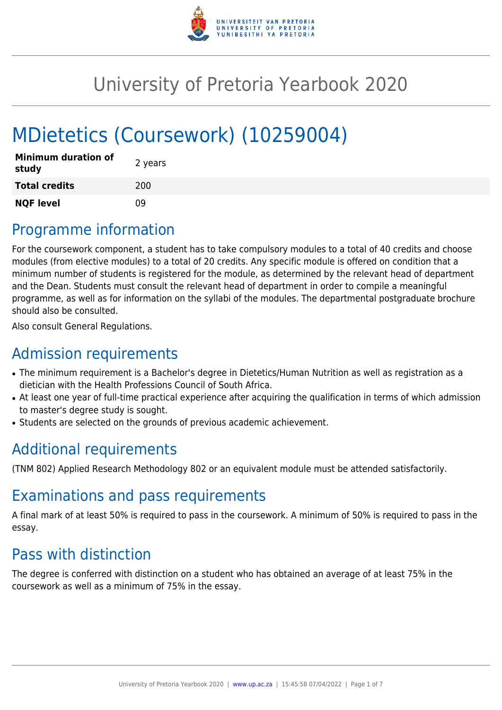

# University of Pretoria Yearbook 2020

# MDietetics (Coursework) (10259004)

| <b>Minimum duration of</b><br>study | 2 years |
|-------------------------------------|---------|
| <b>Total credits</b>                | 200     |
| <b>NQF level</b>                    | nq      |

# Programme information

For the coursework component, a student has to take compulsory modules to a total of 40 credits and choose modules (from elective modules) to a total of 20 credits. Any specific module is offered on condition that a minimum number of students is registered for the module, as determined by the relevant head of department and the Dean. Students must consult the relevant head of department in order to compile a meaningful programme, as well as for information on the syllabi of the modules. The departmental postgraduate brochure should also be consulted.

Also consult General Regulations.

# Admission requirements

- The minimum requirement is a Bachelor's degree in Dietetics/Human Nutrition as well as registration as a dietician with the Health Professions Council of South Africa.
- At least one year of full-time practical experience after acquiring the qualification in terms of which admission to master's degree study is sought.
- Students are selected on the grounds of previous academic achievement.

# Additional requirements

(TNM 802) Applied Research Methodology 802 or an equivalent module must be attended satisfactorily.

# Examinations and pass requirements

A final mark of at least 50% is required to pass in the coursework. A minimum of 50% is required to pass in the essay.

# Pass with distinction

The degree is conferred with distinction on a student who has obtained an average of at least 75% in the coursework as well as a minimum of 75% in the essay.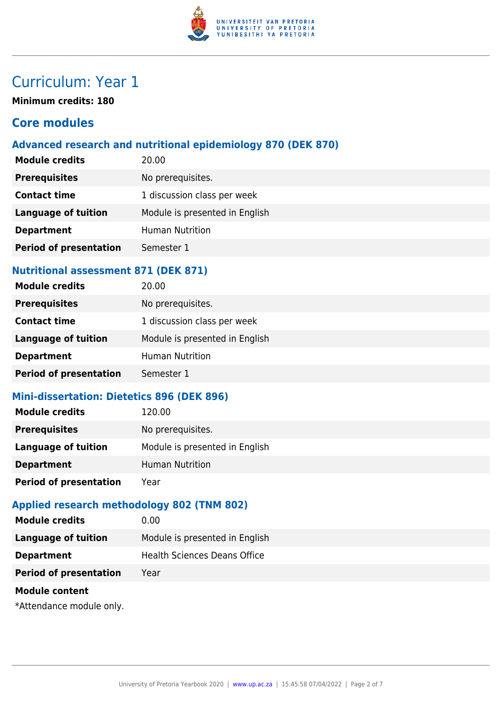

# Curriculum: Year 1

**Minimum credits: 180**

# **Core modules**

### **Advanced research and nutritional epidemiology 870 (DEK 870)**

| <b>Module credits</b>         | 20.00                          |
|-------------------------------|--------------------------------|
| <b>Prerequisites</b>          | No prerequisites.              |
| <b>Contact time</b>           | 1 discussion class per week    |
| <b>Language of tuition</b>    | Module is presented in English |
| <b>Department</b>             | <b>Human Nutrition</b>         |
| <b>Period of presentation</b> | Semester 1                     |

#### **Nutritional assessment 871 (DEK 871)**

| <b>Module credits</b>         | 20.00                          |
|-------------------------------|--------------------------------|
| <b>Prerequisites</b>          | No prerequisites.              |
| <b>Contact time</b>           | 1 discussion class per week    |
| <b>Language of tuition</b>    | Module is presented in English |
| <b>Department</b>             | <b>Human Nutrition</b>         |
| <b>Period of presentation</b> | Semester 1                     |

#### **Mini-dissertation: Dietetics 896 (DEK 896)**

| <b>Module credits</b>         | 120.00                         |
|-------------------------------|--------------------------------|
| <b>Prerequisites</b>          | No prerequisites.              |
| Language of tuition           | Module is presented in English |
| <b>Department</b>             | <b>Human Nutrition</b>         |
| <b>Period of presentation</b> | Year                           |
|                               |                                |

# **Applied research methodology 802 (TNM 802)**

| <b>Module credits</b>         | 0.00                                |
|-------------------------------|-------------------------------------|
| Language of tuition           | Module is presented in English      |
| <b>Department</b>             | <b>Health Sciences Deans Office</b> |
| <b>Period of presentation</b> | Year                                |
|                               |                                     |

#### **Module content**

\*Attendance module only.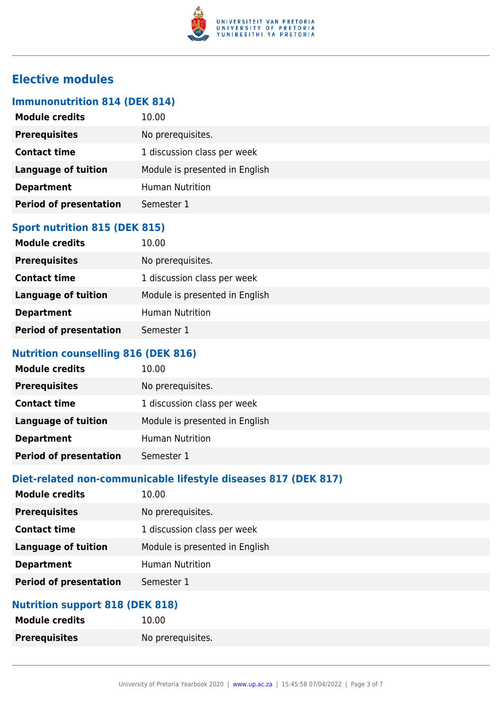

# **Elective modules**

### **Immunonutrition 814 (DEK 814)**

| <b>Module credits</b>         | 10.00                          |
|-------------------------------|--------------------------------|
| <b>Prerequisites</b>          | No prerequisites.              |
| <b>Contact time</b>           | 1 discussion class per week    |
| <b>Language of tuition</b>    | Module is presented in English |
| <b>Department</b>             | <b>Human Nutrition</b>         |
| <b>Period of presentation</b> | Semester 1                     |
|                               |                                |

# **Sport nutrition 815 (DEK 815)**

| <b>Module credits</b>         | 10.00                          |
|-------------------------------|--------------------------------|
| <b>Prerequisites</b>          | No prerequisites.              |
| <b>Contact time</b>           | 1 discussion class per week    |
| <b>Language of tuition</b>    | Module is presented in English |
| <b>Department</b>             | <b>Human Nutrition</b>         |
| <b>Period of presentation</b> | Semester 1                     |

#### **Nutrition counselling 816 (DEK 816)**

| 10.00                          |
|--------------------------------|
| No prerequisites.              |
| 1 discussion class per week    |
| Module is presented in English |
| <b>Human Nutrition</b>         |
| Semester 1                     |
|                                |

#### **Diet-related non-communicable lifestyle diseases 817 (DEK 817)**

| <b>Module credits</b>         | 10.00                          |
|-------------------------------|--------------------------------|
| <b>Prerequisites</b>          | No prerequisites.              |
| <b>Contact time</b>           | 1 discussion class per week    |
| <b>Language of tuition</b>    | Module is presented in English |
| <b>Department</b>             | <b>Human Nutrition</b>         |
| <b>Period of presentation</b> | Semester 1                     |
|                               |                                |

# **Nutrition support 818 (DEK 818)**

| <b>Module credits</b> | 10.00             |
|-----------------------|-------------------|
| <b>Prerequisites</b>  | No prerequisites. |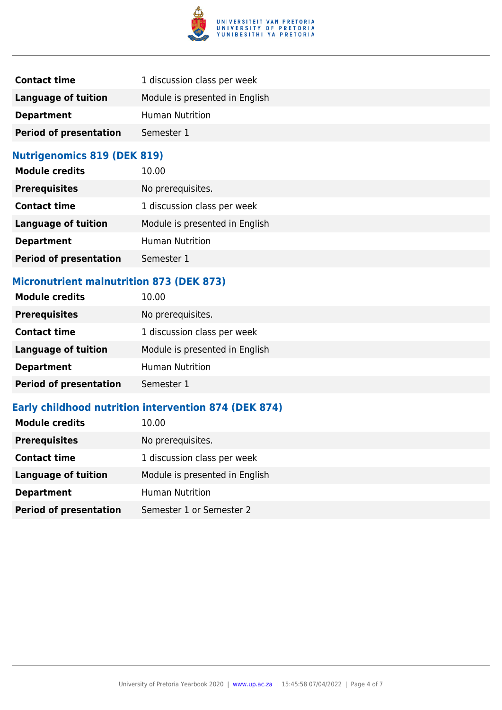

| <b>Contact time</b>           | 1 discussion class per week    |
|-------------------------------|--------------------------------|
| Language of tuition           | Module is presented in English |
| <b>Department</b>             | <b>Human Nutrition</b>         |
| <b>Period of presentation</b> | Semester 1                     |

# **Nutrigenomics 819 (DEK 819)**

| <b>Module credits</b>         | 10.00                          |
|-------------------------------|--------------------------------|
| <b>Prerequisites</b>          | No prerequisites.              |
| <b>Contact time</b>           | 1 discussion class per week    |
| <b>Language of tuition</b>    | Module is presented in English |
| <b>Department</b>             | <b>Human Nutrition</b>         |
| <b>Period of presentation</b> | Semester 1                     |

# **Micronutrient malnutrition 873 (DEK 873)**

| <b>Module credits</b>         | 10.00                          |
|-------------------------------|--------------------------------|
| <b>Prerequisites</b>          | No prerequisites.              |
| <b>Contact time</b>           | 1 discussion class per week    |
| <b>Language of tuition</b>    | Module is presented in English |
| <b>Department</b>             | <b>Human Nutrition</b>         |
| <b>Period of presentation</b> | Semester 1                     |
|                               |                                |

# **Early childhood nutrition intervention 874 (DEK 874)**

| <b>Module credits</b>         | 10.00                          |
|-------------------------------|--------------------------------|
| <b>Prerequisites</b>          | No prerequisites.              |
| <b>Contact time</b>           | 1 discussion class per week    |
| <b>Language of tuition</b>    | Module is presented in English |
| <b>Department</b>             | <b>Human Nutrition</b>         |
| <b>Period of presentation</b> | Semester 1 or Semester 2       |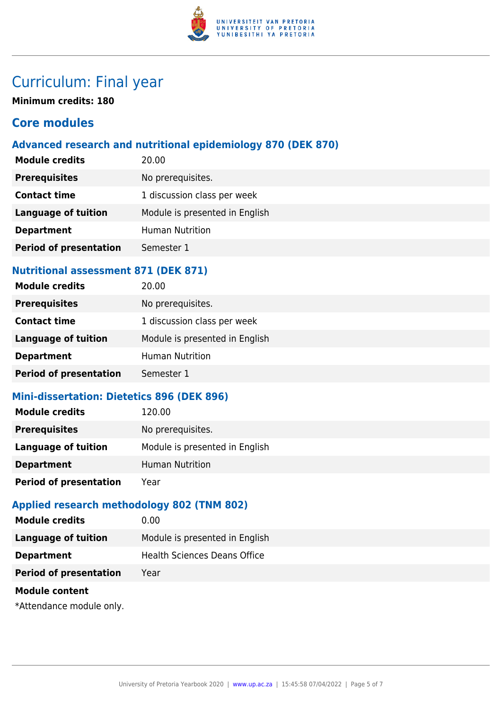

# Curriculum: Final year

**Minimum credits: 180**

# **Core modules**

### **Advanced research and nutritional epidemiology 870 (DEK 870)**

| <b>Module credits</b>         | 20.00                          |
|-------------------------------|--------------------------------|
| <b>Prerequisites</b>          | No prerequisites.              |
| <b>Contact time</b>           | 1 discussion class per week    |
| <b>Language of tuition</b>    | Module is presented in English |
| <b>Department</b>             | <b>Human Nutrition</b>         |
| <b>Period of presentation</b> | Semester 1                     |

#### **Nutritional assessment 871 (DEK 871)**

| <b>Module credits</b>         | 20.00                          |
|-------------------------------|--------------------------------|
| <b>Prerequisites</b>          | No prerequisites.              |
| <b>Contact time</b>           | 1 discussion class per week    |
| <b>Language of tuition</b>    | Module is presented in English |
| <b>Department</b>             | <b>Human Nutrition</b>         |
| <b>Period of presentation</b> | Semester 1                     |

#### **Mini-dissertation: Dietetics 896 (DEK 896)**

| <b>Module credits</b>         | 120.00                         |
|-------------------------------|--------------------------------|
| <b>Prerequisites</b>          | No prerequisites.              |
| <b>Language of tuition</b>    | Module is presented in English |
| <b>Department</b>             | <b>Human Nutrition</b>         |
| <b>Period of presentation</b> | Year                           |

# **Applied research methodology 802 (TNM 802)**

| 0.00                           |
|--------------------------------|
| Module is presented in English |
| Health Sciences Deans Office   |
| Year                           |
|                                |

#### **Module content**

\*Attendance module only.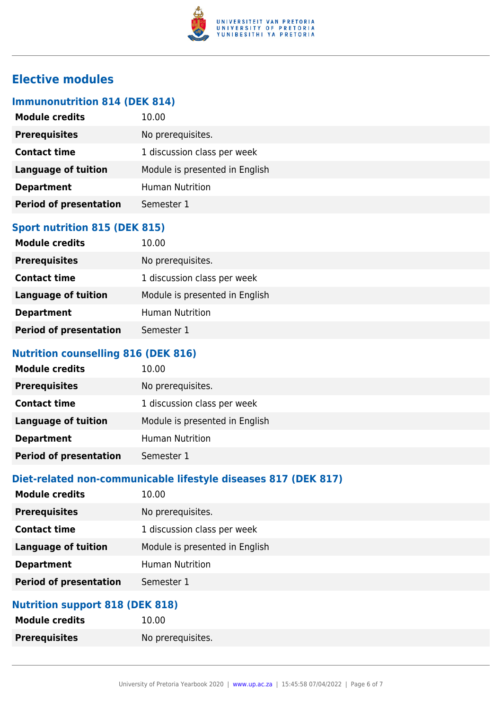

# **Elective modules**

### **Immunonutrition 814 (DEK 814)**

| <b>Module credits</b>         | 10.00                          |
|-------------------------------|--------------------------------|
| <b>Prerequisites</b>          | No prerequisites.              |
| <b>Contact time</b>           | 1 discussion class per week    |
| <b>Language of tuition</b>    | Module is presented in English |
| <b>Department</b>             | <b>Human Nutrition</b>         |
| <b>Period of presentation</b> | Semester 1                     |
|                               |                                |

# **Sport nutrition 815 (DEK 815)**

| <b>Module credits</b>         | 10.00                          |
|-------------------------------|--------------------------------|
| <b>Prerequisites</b>          | No prerequisites.              |
| <b>Contact time</b>           | 1 discussion class per week    |
| <b>Language of tuition</b>    | Module is presented in English |
| <b>Department</b>             | <b>Human Nutrition</b>         |
| <b>Period of presentation</b> | Semester 1                     |

#### **Nutrition counselling 816 (DEK 816)**

| <b>Module credits</b>         | 10.00                          |
|-------------------------------|--------------------------------|
| <b>Prerequisites</b>          | No prerequisites.              |
| <b>Contact time</b>           | 1 discussion class per week    |
| <b>Language of tuition</b>    | Module is presented in English |
| <b>Department</b>             | <b>Human Nutrition</b>         |
| <b>Period of presentation</b> | Semester 1                     |

### **Diet-related non-communicable lifestyle diseases 817 (DEK 817)**

| <b>Module credits</b>         | 10.00                          |
|-------------------------------|--------------------------------|
| <b>Prerequisites</b>          | No prerequisites.              |
| <b>Contact time</b>           | 1 discussion class per week    |
| <b>Language of tuition</b>    | Module is presented in English |
| <b>Department</b>             | <b>Human Nutrition</b>         |
| <b>Period of presentation</b> | Semester 1                     |
|                               |                                |

### **Nutrition support 818 (DEK 818)**

| <b>Module credits</b> | 10.00             |
|-----------------------|-------------------|
| <b>Prerequisites</b>  | No prerequisites. |